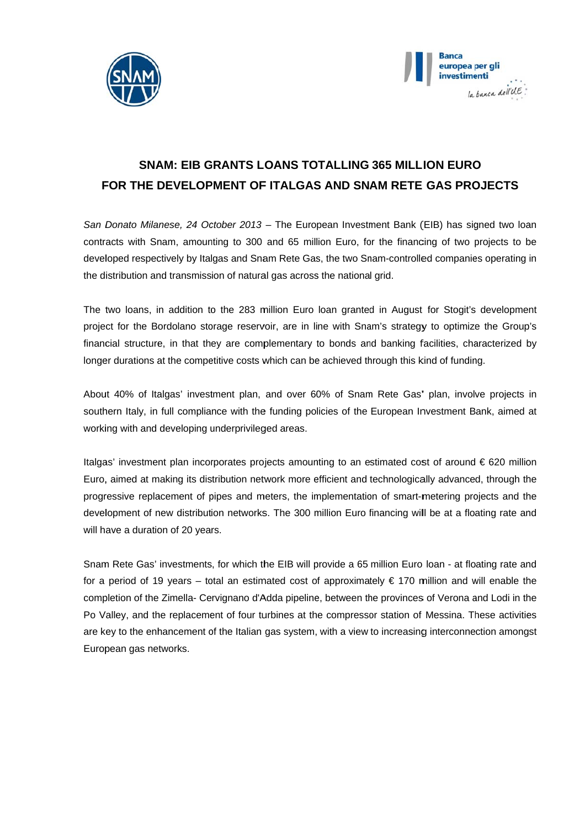



## **SNAM: EIB GRANTS LOANS TOTALLING 365 MILLION EURO** FOR THE DEVELOPMENT OF ITALGAS AND SNAM RETE GAS PROJECTS

San Donato Milanese, 24 October 2013 - The European Investment Bank (EIB) has signed two loan contracts with Snam, amounting to 300 and 65 million Euro, for the financing of two projects to be developed respectively by Italgas and Snam Rete Gas, the two Snam-controlled companies operating in the distribution and transmission of natural gas across the national grid.

The two loans, in addition to the 283 million Euro loan granted in August for Stogit's development project for the Bordolano storage reservoir, are in line with Snam's strategy to optimize the Group's financial structure, in that they are complementary to bonds and banking facilities, characterized by longer durations at the competitive costs which can be achieved through this kind of funding.

About 40% of Italgas' investment plan, and over 60% of Snam Rete Gas' plan, involve projects in southern Italy, in full compliance with the funding policies of the European Investment Bank, aimed at working with and developing underprivileged areas.

Italgas' investment plan incorporates projects amounting to an estimated cost of around € 620 million Euro, aimed at making its distribution network more efficient and technologically advanced, through the progressive replacement of pipes and meters, the implementation of smart-metering projects and the development of new distribution networks. The 300 million Euro financing will be at a floating rate and will have a duration of 20 years.

Snam Rete Gas' investments, for which the EIB will provide a 65 million Euro loan - at floating rate and for a period of 19 years – total an estimated cost of approximately  $\epsilon$  170 million and will enable the completion of the Zimella- Cervignano d'Adda pipeline, between the provinces of Verona and Lodi in the Po Valley, and the replacement of four turbines at the compressor station of Messina. These activities are key to the enhancement of the Italian gas system, with a view to increasing interconnection amongst European gas networks.